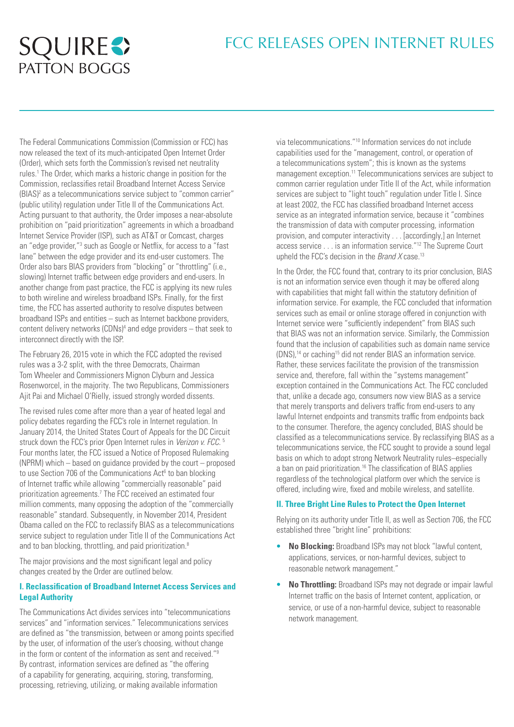# FCC RELEASES OPEN INTERNET RULES

# **SQUIRE <>**

The Federal Communications Commission (Commission or FCC) has now released the text of its much-anticipated Open Internet Order (Order), which sets forth the Commission's revised net neutrality rules.<sup>1</sup> The Order, which marks a historic change in position for the Commission, reclassifies retail Broadband Internet Access Service (BIAS)<sup>2</sup> as a telecommunications service subject to "common carrier" (public utility) regulation under Title II of the Communications Act. Acting pursuant to that authority, the Order imposes a near-absolute prohibition on "paid prioritization" agreements in which a broadband Internet Service Provider (ISP), such as AT&T or Comcast, charges an "edge provider,"<sup>3</sup> such as Google or Netflix, for access to a "fast lane" between the edge provider and its end-user customers. The Order also bars BIAS providers from "blocking" or "throttling" (i.e., slowing) Internet traffic between edge providers and end-users. In another change from past practice, the FCC is applying its new rules to both wireline and wireless broadband ISPs. Finally, for the first time, the FCC has asserted authority to resolve disputes between broadband ISPs and entities – such as Internet backbone providers, content delivery networks (CDNs)<sup>4</sup> and edge providers – that seek to interconnect directly with the ISP.

The February 26, 2015 vote in which the FCC adopted the revised rules was a 3-2 split, with the three Democrats, Chairman Tom Wheeler and Commissioners Mignon Clyburn and Jessica Rosenworcel, in the majority. The two Republicans, Commissioners Ajit Pai and Michael O'Rielly, issued strongly worded dissents.

The revised rules come after more than a year of heated legal and policy debates regarding the FCC's role in Internet regulation. In January 2014, the United States Court of Appeals for the DC Circuit struck down the FCC's prior Open Internet rules in *Verizon v. FCC*. 5 Four months later, the FCC issued a Notice of Proposed Rulemaking (NPRM) which – based on guidance provided by the court – proposed to use Section 706 of the Communications Act<sup>6</sup> to ban blocking of Internet traffic while allowing "commercially reasonable" paid prioritization agreements.7 The FCC received an estimated four million comments, many opposing the adoption of the "commercially reasonable" standard. Subsequently, in November 2014, President Obama called on the FCC to reclassify BIAS as a telecommunications service subject to regulation under Title II of the Communications Act and to ban blocking, throttling, and paid prioritization.<sup>8</sup>

The major provisions and the most significant legal and policy changes created by the Order are outlined below.

# **I. Reclassification of Broadband Internet Access Services and Legal Authority**

The Communications Act divides services into "telecommunications services" and "information services." Telecommunications services are defined as "the transmission, between or among points specified by the user, of information of the user's choosing, without change in the form or content of the information as sent and received."9 By contrast, information services are defined as "the offering of a capability for generating, acquiring, storing, transforming, processing, retrieving, utilizing, or making available information

via telecommunications."10 Information services do not include capabilities used for the "management, control, or operation of a telecommunications system"; this is known as the systems management exception.11 Telecommunications services are subject to common carrier regulation under Title II of the Act, while information services are subject to "light touch" regulation under Title I. Since at least 2002, the FCC has classified broadband Internet access service as an integrated information service, because it "combines the transmission of data with computer processing, information provision, and computer interactivity . . . [accordingly,] an Internet access service . . . is an information service."12 The Supreme Court upheld the FCC's decision in the *Brand X* case.13

In the Order, the FCC found that, contrary to its prior conclusion, BIAS is not an information service even though it may be offered along with capabilities that might fall within the statutory definition of information service. For example, the FCC concluded that information services such as email or online storage offered in conjunction with Internet service were "sufficiently independent" from BIAS such that BIAS was not an information service. Similarly, the Commission found that the inclusion of capabilities such as domain name service (DNS),14 or caching15 did not render BIAS an information service. Rather, these services facilitate the provision of the transmission service and, therefore, fall within the "systems management" exception contained in the Communications Act. The FCC concluded that, unlike a decade ago, consumers now view BIAS as a service that merely transports and delivers traffic from end-users to any lawful Internet endpoints and transmits traffic from endpoints back to the consumer. Therefore, the agency concluded, BIAS should be classified as a telecommunications service. By reclassifying BIAS as a telecommunications service, the FCC sought to provide a sound legal basis on which to adopt strong Network Neutrality rules–especially a ban on paid prioritization.16 The classification of BIAS applies regardless of the technological platform over which the service is offered, including wire, fixed and mobile wireless, and satellite.

#### **II. Three Bright Line Rules to Protect the Open Internet**

Relying on its authority under Title II, as well as Section 706, the FCC established three "bright line" prohibitions:

- **No Blocking:** Broadband ISPs may not block "lawful content, applications, services, or non-harmful devices, subject to reasonable network management."
- **No Throttling:** Broadband ISPs may not degrade or impair lawful Internet traffic on the basis of Internet content, application, or service, or use of a non-harmful device, subject to reasonable network management.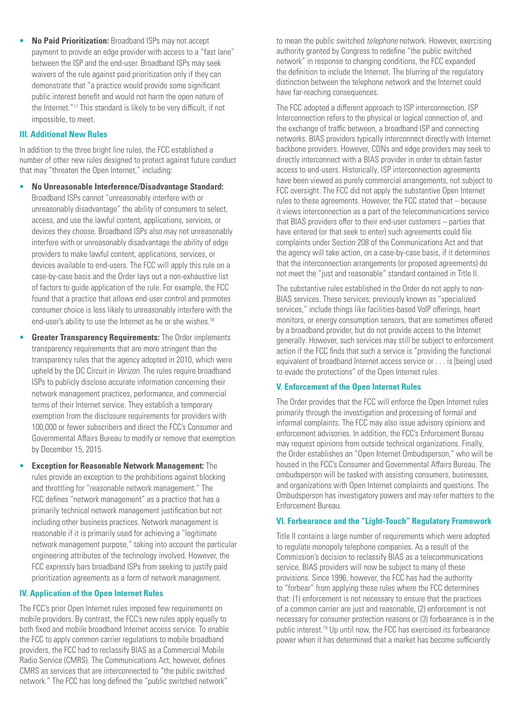• **No Paid Prioritization:** Broadband ISPs may not accept payment to provide an edge provider with access to a "fast lane" between the ISP and the end-user. Broadband ISPs may seek waivers of the rule against paid prioritization only if they can demonstrate that "a practice would provide some significant public interest benefit and would not harm the open nature of the Internet."17 This standard is likely to be very difficult, if not impossible, to meet.

### **III. Additional New Rules**

In addition to the three bright line rules, the FCC established a number of other new rules designed to protect against future conduct that may "threaten the Open Internet," including:

- **No Unreasonable Interference/Disadvantage Standard:** Broadband ISPs cannot "unreasonably interfere with or unreasonably disadvantage" the ability of consumers to select, access, and use the lawful content, applications, services, or devices they choose. Broadband ISPs also may not unreasonably interfere with or unreasonably disadvantage the ability of edge providers to make lawful content, applications, services, or devices available to end-users. The FCC will apply this rule on a case-by-case basis and the Order lays out a non-exhaustive list of factors to guide application of the rule. For example, the FCC found that a practice that allows end-user control and promotes consumer choice is less likely to unreasonably interfere with the end-user's ability to use the Internet as he or she wishes.<sup>18</sup>
- **Greater Transparency Requirements:** The Order implements transparency requirements that are more stringent than the transparency rules that the agency adopted in 2010, which were upheld by the DC Circuit in *Verizon*. The rules require broadband ISPs to publicly disclose accurate information concerning their network management practices, performance, and commercial terms of their Internet service. They establish a temporary exemption from the disclosure requirements for providers with 100,000 or fewer subscribers and direct the FCC's Consumer and Governmental Affairs Bureau to modify or remove that exemption by December 15, 2015.
- **Exception for Reasonable Network Management:** The rules provide an exception to the prohibitions against blocking and throttling for "reasonable network management." The FCC defines "network management" as a practice that has a primarily technical network management justification but not including other business practices. Network management is reasonable if it is primarily used for achieving a "legitimate network management purpose," taking into account the particular engineering attributes of the technology involved. However, the FCC expressly bars broadband ISPs from seeking to justify paid prioritization agreements as a form of network management.

# **IV. Application of the Open Internet Rules**

The FCC's prior Open Internet rules imposed few requirements on mobile providers. By contrast, the FCC's new rules apply equally to both fixed and mobile broadband Internet access service. To enable the FCC to apply common carrier regulations to mobile broadband providers, the FCC had to reclassify BIAS as a Commercial Mobile Radio Service (CMRS). The Communications Act, however, defines CMRS as services that are interconnected to "the public switched network." The FCC has long defined the "public switched network"

to mean the public switched *telephone* network. However, exercising authority granted by Congress to redefine "the public switched network" in response to changing conditions, the FCC expanded the definition to include the Internet. The blurring of the regulatory distinction between the telephone network and the Internet could have far-reaching consequences.

The FCC adopted a different approach to ISP interconnection. ISP Interconnection refers to the physical or logical connection of, and the exchange of traffic between, a broadband ISP and connecting networks. BIAS providers typically interconnect directly with Internet backbone providers. However, CDNs and edge providers may seek to directly interconnect with a BIAS provider in order to obtain faster access to end-users. Historically, ISP interconnection agreements have been viewed as purely commercial arrangements, not subject to FCC oversight. The FCC did not apply the substantive Open Internet rules to these agreements. However, the FCC stated that – because it views interconnection as a part of the telecommunications service that BIAS providers offer to their end-user customers – parties that have entered (or that seek to enter) such agreements could file complaints under Section 208 of the Communications Act and that the agency will take action, on a case-by-case basis, if it determines that the interconnection arrangements (or proposed agreements) do not meet the "just and reasonable" standard contained in Title II.

The substantive rules established in the Order do not apply to non-BIAS services. These services, previously known as "specialized services," include things like facilities-based VoIP offerings, heart monitors, or energy consumption sensors, that are sometimes offered by a broadband provider, but do not provide access to the Internet generally. However, such services may still be subject to enforcement action if the FCC finds that such a service is "providing the functional equivalent of broadband Internet access service or . . . is [being] used to evade the protections" of the Open Internet rules.

#### **V. Enforcement of the Open Internet Rules**

The Order provides that the FCC will enforce the Open Internet rules primarily through the investigation and processing of formal and informal complaints. The FCC may also issue advisory opinions and enforcement advisories. In addition, the FCC's Enforcement Bureau may request opinions from outside technical organizations. Finally, the Order establishes an "Open Internet Ombudsperson," who will be housed in the FCC's Consumer and Governmental Affairs Bureau. The ombudsperson will be tasked with assisting consumers, businesses, and organizations with Open Internet complaints and questions. The Ombudsperson has investigatory powers and may refer matters to the Enforcement Bureau.

#### **VI. Forbearance and the "Light-Touch" Regulatory Framework**

Title II contains a large number of requirements which were adopted to regulate monopoly telephone companies. As a result of the Commission's decision to reclassify BIAS as a telecommunications service, BIAS providers will now be subject to many of these provisions. Since 1996, however, the FCC has had the authority to "forbear" from applying these rules where the FCC determines that: (1) enforcement is not necessary to ensure that the practices of a common carrier are just and reasonable, (2) enforcement is not necessary for consumer protection reasons or (3) forbearance is in the public interest.19 Up until now, the FCC has exercised its forbearance power when it has determined that a market has become sufficiently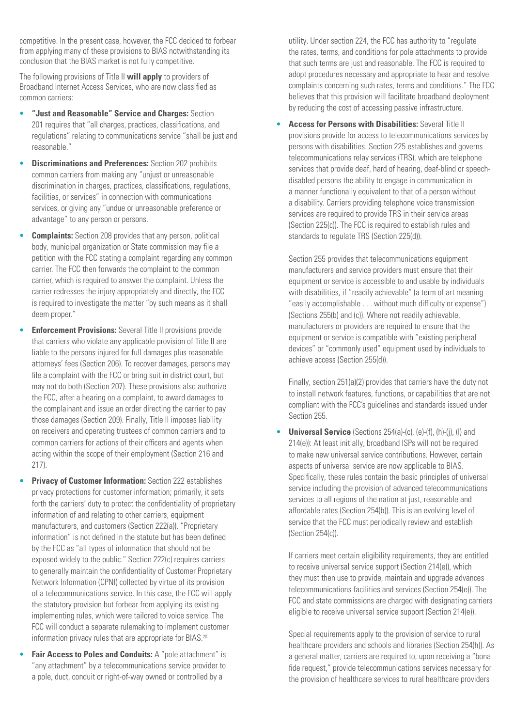competitive. In the present case, however, the FCC decided to forbear from applying many of these provisions to BIAS notwithstanding its conclusion that the BIAS market is not fully competitive.

The following provisions of Title II **will apply** to providers of Broadband Internet Access Services, who are now classified as common carriers:

- **"Just and Reasonable" Service and Charges:** Section 201 requires that "all charges, practices, classifications, and regulations" relating to communications service "shall be just and reasonable."
- **Discriminations and Preferences:** Section 202 prohibits common carriers from making any "unjust or unreasonable discrimination in charges, practices, classifications, regulations, facilities, or services" in connection with communications services, or giving any "undue or unreasonable preference or advantage" to any person or persons.
- **Complaints:** Section 208 provides that any person, political body, municipal organization or State commission may file a petition with the FCC stating a complaint regarding any common carrier. The FCC then forwards the complaint to the common carrier, which is required to answer the complaint. Unless the carrier redresses the injury appropriately and directly, the FCC is required to investigate the matter "by such means as it shall deem proper."
- **Enforcement Provisions:** Several Title II provisions provide that carriers who violate any applicable provision of Title II are liable to the persons injured for full damages plus reasonable attorneys' fees (Section 206). To recover damages, persons may file a complaint with the FCC or bring suit in district court, but may not do both (Section 207). These provisions also authorize the FCC, after a hearing on a complaint, to award damages to the complainant and issue an order directing the carrier to pay those damages (Section 209). Finally, Title II imposes liability on receivers and operating trustees of common carriers and to common carriers for actions of their officers and agents when acting within the scope of their employment (Section 216 and 217).
- **Privacy of Customer Information:** Section 222 establishes privacy protections for customer information; primarily, it sets forth the carriers' duty to protect the confidentiality of proprietary information of and relating to other carriers, equipment manufacturers, and customers (Section 222(a)). "Proprietary information" is not defined in the statute but has been defined by the FCC as "all types of information that should not be exposed widely to the public." Section 222(c) requires carriers to generally maintain the confidentiality of Customer Proprietary Network Information (CPNI) collected by virtue of its provision of a telecommunications service. In this case, the FCC will apply the statutory provision but forbear from applying its existing implementing rules, which were tailored to voice service. The FCC will conduct a separate rulemaking to implement customer information privacy rules that are appropriate for BIAS.<sup>20</sup>
- **Fair Access to Poles and Conduits:** A "pole attachment" is "any attachment" by a telecommunications service provider to a pole, duct, conduit or right-of-way owned or controlled by a

utility. Under section 224, the FCC has authority to "regulate the rates, terms, and conditions for pole attachments to provide that such terms are just and reasonable. The FCC is required to adopt procedures necessary and appropriate to hear and resolve complaints concerning such rates, terms and conditions." The FCC believes that this provision will facilitate broadband deployment by reducing the cost of accessing passive infrastructure.

• **Access for Persons with Disabilities:** Several Title II provisions provide for access to telecommunications services by persons with disabilities. Section 225 establishes and governs telecommunications relay services (TRS), which are telephone services that provide deaf, hard of hearing, deaf-blind or speechdisabled persons the ability to engage in communication in a manner functionally equivalent to that of a person without a disability. Carriers providing telephone voice transmission services are required to provide TRS in their service areas (Section 225(c)). The FCC is required to establish rules and standards to regulate TRS (Section 225(d)).

Section 255 provides that telecommunications equipment manufacturers and service providers must ensure that their equipment or service is accessible to and usable by individuals with disabilities, if "readily achievable" (a term of art meaning "easily accomplishable . . . without much difficulty or expense") (Sections 255(b) and (c)). Where not readily achievable, manufacturers or providers are required to ensure that the equipment or service is compatible with "existing peripheral devices" or "commonly used" equipment used by individuals to achieve access (Section 255(d)).

Finally, section 251(a)(2) provides that carriers have the duty not to install network features, functions, or capabilities that are not compliant with the FCC's guidelines and standards issued under Section 255.

• **Universal Service** (Sections 254(a)-(c), (e)-(f), (h)-(j), (l) and 214(e)): At least initially, broadband ISPs will not be required to make new universal service contributions. However, certain aspects of universal service are now applicable to BIAS. Specifically, these rules contain the basic principles of universal service including the provision of advanced telecommunications services to all regions of the nation at just, reasonable and affordable rates (Section 254(b)). This is an evolving level of service that the FCC must periodically review and establish (Section 254(c)).

If carriers meet certain eligibility requirements, they are entitled to receive universal service support (Section 214(e)), which they must then use to provide, maintain and upgrade advances telecommunications facilities and services (Section 254(e)). The FCC and state commissions are charged with designating carriers eligible to receive universal service support (Section 214(e)).

Special requirements apply to the provision of service to rural healthcare providers and schools and libraries (Section 254(h)). As a general matter, carriers are required to, upon receiving a "bona fide request," provide telecommunications services necessary for the provision of healthcare services to rural healthcare providers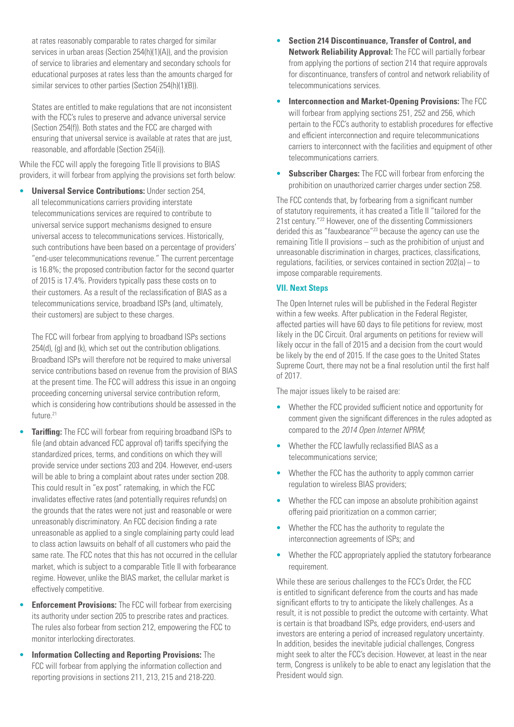at rates reasonably comparable to rates charged for similar services in urban areas (Section 254(h)(1)(A)), and the provision of service to libraries and elementary and secondary schools for educational purposes at rates less than the amounts charged for similar services to other parties (Section 254(h)(1)(B)).

States are entitled to make regulations that are not inconsistent with the FCC's rules to preserve and advance universal service (Section 254(f)). Both states and the FCC are charged with ensuring that universal service is available at rates that are just, reasonable, and affordable (Section 254(i)).

While the FCC will apply the foregoing Title II provisions to BIAS providers, it will forbear from applying the provisions set forth below:

• **Universal Service Contributions:** Under section 254, all telecommunications carriers providing interstate telecommunications services are required to contribute to universal service support mechanisms designed to ensure universal access to telecommunications services. Historically, such contributions have been based on a percentage of providers' "end-user telecommunications revenue." The current percentage is 16.8%; the proposed contribution factor for the second quarter of 2015 is 17.4%. Providers typically pass these costs on to their customers. As a result of the reclassification of BIAS as a telecommunications service, broadband ISPs (and, ultimately, their customers) are subject to these charges.

The FCC will forbear from applying to broadband ISPs sections 254(d), (g) and (k), which set out the contribution obligations. Broadband ISPs will therefore not be required to make universal service contributions based on revenue from the provision of BIAS at the present time. The FCC will address this issue in an ongoing proceeding concerning universal service contribution reform, which is considering how contributions should be assessed in the future.<sup>21</sup>

- **Tariffing:** The FCC will forbear from requiring broadband ISPs to file (and obtain advanced FCC approval of) tariffs specifying the standardized prices, terms, and conditions on which they will provide service under sections 203 and 204. However, end-users will be able to bring a complaint about rates under section 208. This could result in "ex post" ratemaking, in which the FCC invalidates effective rates (and potentially requires refunds) on the grounds that the rates were not just and reasonable or were unreasonably discriminatory. An FCC decision finding a rate unreasonable as applied to a single complaining party could lead to class action lawsuits on behalf of all customers who paid the same rate. The FCC notes that this has not occurred in the cellular market, which is subject to a comparable Title II with forbearance regime. However, unlike the BIAS market, the cellular market is effectively competitive.
- **Enforcement Provisions:** The FCC will forbear from exercising its authority under section 205 to prescribe rates and practices. The rules also forbear from section 212, empowering the FCC to monitor interlocking directorates.
- **Information Collecting and Reporting Provisions:** The FCC will forbear from applying the information collection and reporting provisions in sections 211, 213, 215 and 218-220.
- **Section 214 Discontinuance, Transfer of Control, and Network Reliability Approval:** The FCC will partially forbear from applying the portions of section 214 that require approvals for discontinuance, transfers of control and network reliability of telecommunications services.
- **Interconnection and Market-Opening Provisions:** The FCC will forbear from applying sections 251, 252 and 256, which pertain to the FCC's authority to establish procedures for effective and efficient interconnection and require telecommunications carriers to interconnect with the facilities and equipment of other telecommunications carriers.
- **Subscriber Charges:** The FCC will forbear from enforcing the prohibition on unauthorized carrier charges under section 258.

The FCC contends that, by forbearing from a significant number of statutory requirements, it has created a Title II "tailored for the 21st century."22 However, one of the dissenting Commissioners derided this as "fauxbearance"<sup>23</sup> because the agency can use the remaining Title II provisions – such as the prohibition of unjust and unreasonable discrimination in charges, practices, classifications, regulations, facilities, or services contained in section 202(a) – to impose comparable requirements.

# **VII. Next Steps**

The Open Internet rules will be published in the Federal Register within a few weeks. After publication in the Federal Register, affected parties will have 60 days to file petitions for review, most likely in the DC Circuit. Oral arguments on petitions for review will likely occur in the fall of 2015 and a decision from the court would be likely by the end of 2015. If the case goes to the United States Supreme Court, there may not be a final resolution until the first half of 2017.

The major issues likely to be raised are:

- Whether the FCC provided sufficient notice and opportunity for comment given the significant differences in the rules adopted as compared to the *2014 Open Internet NPRM*;
- Whether the FCC lawfully reclassified BIAS as a telecommunications service;
- Whether the FCC has the authority to apply common carrier regulation to wireless BIAS providers;
- Whether the FCC can impose an absolute prohibition against offering paid prioritization on a common carrier;
- Whether the FCC has the authority to regulate the interconnection agreements of ISPs; and
- Whether the FCC appropriately applied the statutory forbearance requirement.

While these are serious challenges to the FCC's Order, the FCC is entitled to significant deference from the courts and has made significant efforts to try to anticipate the likely challenges. As a result, it is not possible to predict the outcome with certainty. What is certain is that broadband ISPs, edge providers, end-users and investors are entering a period of increased regulatory uncertainty. In addition, besides the inevitable judicial challenges, Congress might seek to alter the FCC's decision. However, at least in the near term, Congress is unlikely to be able to enact any legislation that the President would sign.